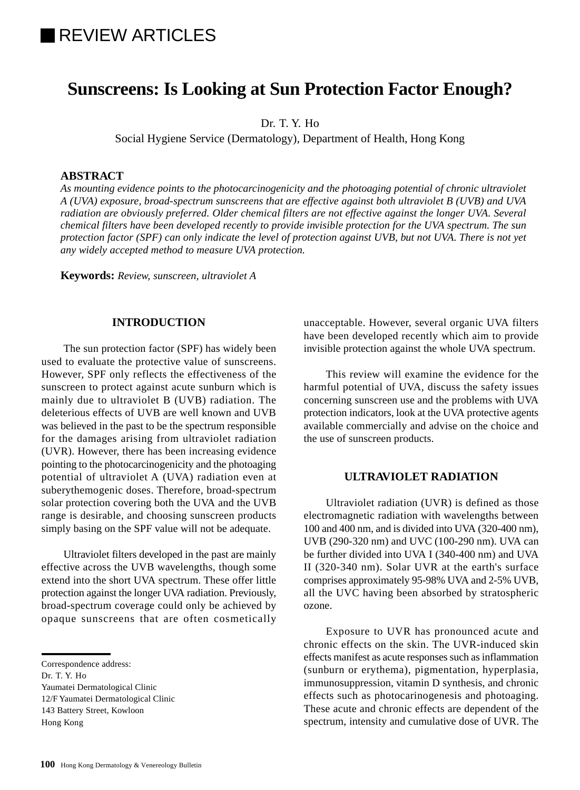# REVIEW ARTICLES

## **Sunscreens: Is Looking at Sun Protection Factor Enough?**

Dr. T. Y. Ho

Social Hygiene Service (Dermatology), Department of Health, Hong Kong

## **ABSTRACT**

*As mounting evidence points to the photocarcinogenicity and the photoaging potential of chronic ultraviolet A (UVA) exposure, broad-spectrum sunscreens that are effective against both ultraviolet B (UVB) and UVA radiation are obviously preferred. Older chemical filters are not effective against the longer UVA. Several chemical filters have been developed recently to provide invisible protection for the UVA spectrum. The sun protection factor (SPF) can only indicate the level of protection against UVB, but not UVA. There is not yet any widely accepted method to measure UVA protection.*

**Keywords:** *Review, sunscreen, ultraviolet A*

#### **INTRODUCTION**

The sun protection factor (SPF) has widely been used to evaluate the protective value of sunscreens. However, SPF only reflects the effectiveness of the sunscreen to protect against acute sunburn which is mainly due to ultraviolet B (UVB) radiation. The deleterious effects of UVB are well known and UVB was believed in the past to be the spectrum responsible for the damages arising from ultraviolet radiation (UVR). However, there has been increasing evidence pointing to the photocarcinogenicity and the photoaging potential of ultraviolet A (UVA) radiation even at suberythemogenic doses. Therefore, broad-spectrum solar protection covering both the UVA and the UVB range is desirable, and choosing sunscreen products simply basing on the SPF value will not be adequate.

Ultraviolet filters developed in the past are mainly effective across the UVB wavelengths, though some extend into the short UVA spectrum. These offer little protection against the longer UVA radiation. Previously, broad-spectrum coverage could only be achieved by opaque sunscreens that are often cosmetically

Correspondence address:

Dr. T. Y. Ho

Yaumatei Dermatological Clinic

12/F Yaumatei Dermatological Clinic

143 Battery Street, Kowloon

unacceptable. However, several organic UVA filters have been developed recently which aim to provide invisible protection against the whole UVA spectrum.

This review will examine the evidence for the harmful potential of UVA, discuss the safety issues concerning sunscreen use and the problems with UVA protection indicators, look at the UVA protective agents available commercially and advise on the choice and the use of sunscreen products.

## **ULTRAVIOLET RADIATION**

Ultraviolet radiation (UVR) is defined as those electromagnetic radiation with wavelengths between 100 and 400 nm, and is divided into UVA (320-400 nm), UVB (290-320 nm) and UVC (100-290 nm). UVA can be further divided into UVA I (340-400 nm) and UVA II (320-340 nm). Solar UVR at the earth's surface comprises approximately 95-98% UVA and 2-5% UVB, all the UVC having been absorbed by stratospheric ozone.

Exposure to UVR has pronounced acute and chronic effects on the skin. The UVR-induced skin effects manifest as acute responses such as inflammation (sunburn or erythema), pigmentation, hyperplasia, immunosuppression, vitamin D synthesis, and chronic effects such as photocarinogenesis and photoaging. These acute and chronic effects are dependent of the spectrum, intensity and cumulative dose of UVR. The

Hong Kong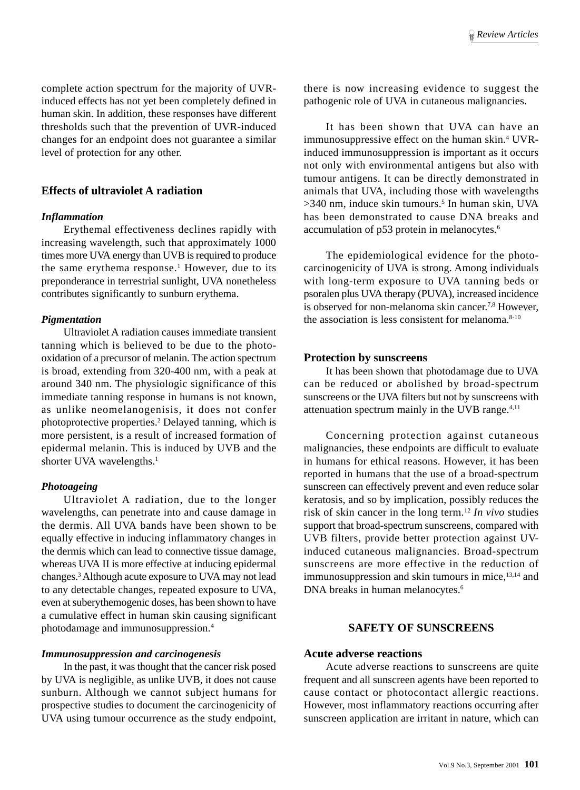complete action spectrum for the majority of UVRinduced effects has not yet been completely defined in human skin. In addition, these responses have different thresholds such that the prevention of UVR-induced changes for an endpoint does not guarantee a similar level of protection for any other.

## **Effects of ultraviolet A radiation**

#### *Inflammation*

Erythemal effectiveness declines rapidly with increasing wavelength, such that approximately 1000 times more UVA energy than UVB is required to produce the same erythema response.<sup>1</sup> However, due to its preponderance in terrestrial sunlight, UVA nonetheless contributes significantly to sunburn erythema.

#### *Pigmentation*

Ultraviolet A radiation causes immediate transient tanning which is believed to be due to the photooxidation of a precursor of melanin. The action spectrum is broad, extending from 320-400 nm, with a peak at around 340 nm. The physiologic significance of this immediate tanning response in humans is not known, as unlike neomelanogenisis, it does not confer photoprotective properties.<sup>2</sup> Delayed tanning, which is more persistent, is a result of increased formation of epidermal melanin. This is induced by UVB and the shorter UVA wavelengths.<sup>1</sup>

#### *Photoageing*

Ultraviolet A radiation, due to the longer wavelengths, can penetrate into and cause damage in the dermis. All UVA bands have been shown to be equally effective in inducing inflammatory changes in the dermis which can lead to connective tissue damage, whereas UVA II is more effective at inducing epidermal changes.3 Although acute exposure to UVA may not lead to any detectable changes, repeated exposure to UVA, even at suberythemogenic doses, has been shown to have a cumulative effect in human skin causing significant photodamage and immunosuppression.4

#### *Immunosuppression and carcinogenesis*

In the past, it was thought that the cancer risk posed by UVA is negligible, as unlike UVB, it does not cause sunburn. Although we cannot subject humans for prospective studies to document the carcinogenicity of UVA using tumour occurrence as the study endpoint,

there is now increasing evidence to suggest the pathogenic role of UVA in cutaneous malignancies.

It has been shown that UVA can have an immunosuppressive effect on the human skin.<sup>4</sup> UVRinduced immunosuppression is important as it occurs not only with environmental antigens but also with tumour antigens. It can be directly demonstrated in animals that UVA, including those with wavelengths >340 nm, induce skin tumours.<sup>5</sup> In human skin, UVA has been demonstrated to cause DNA breaks and accumulation of p53 protein in melanocytes.6

The epidemiological evidence for the photocarcinogenicity of UVA is strong. Among individuals with long-term exposure to UVA tanning beds or psoralen plus UVA therapy (PUVA), increased incidence is observed for non-melanoma skin cancer.<sup>7,8</sup> However, the association is less consistent for melanoma. $8-10$ 

#### **Protection by sunscreens**

It has been shown that photodamage due to UVA can be reduced or abolished by broad-spectrum sunscreens or the UVA filters but not by sunscreens with attenuation spectrum mainly in the UVB range.4,11

Concerning protection against cutaneous malignancies, these endpoints are difficult to evaluate in humans for ethical reasons. However, it has been reported in humans that the use of a broad-spectrum sunscreen can effectively prevent and even reduce solar keratosis, and so by implication, possibly reduces the risk of skin cancer in the long term.12 *In vivo* studies support that broad-spectrum sunscreens, compared with UVB filters, provide better protection against UVinduced cutaneous malignancies. Broad-spectrum sunscreens are more effective in the reduction of immunosuppression and skin tumours in mice,<sup>13,14</sup> and DNA breaks in human melanocytes.<sup>6</sup>

## **SAFETY OF SUNSCREENS**

#### **Acute adverse reactions**

Acute adverse reactions to sunscreens are quite frequent and all sunscreen agents have been reported to cause contact or photocontact allergic reactions. However, most inflammatory reactions occurring after sunscreen application are irritant in nature, which can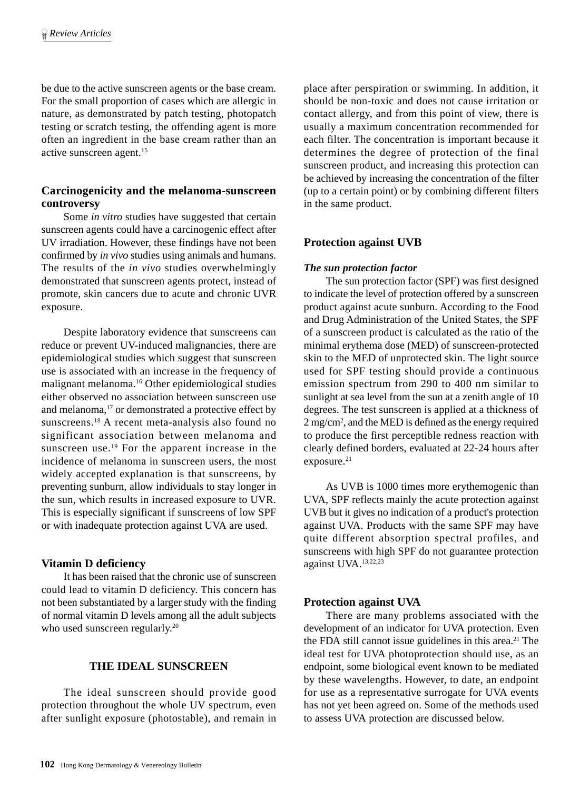be due to the active sunscreen agents or the base cream. For the small proportion of cases which are allergic in nature, as demonstrated by patch testing, photopatch testing or scratch testing, the offending agent is more often an ingredient in the base cream rather than an active sunscreen agent.15

## **Carcinogenicity and the melanoma-sunscreen controversy**

Some *in vitro* studies have suggested that certain sunscreen agents could have a carcinogenic effect after UV irradiation. However, these findings have not been confirmed by *in vivo* studies using animals and humans. The results of the *in vivo* studies overwhelmingly demonstrated that sunscreen agents protect, instead of promote, skin cancers due to acute and chronic UVR exposure.

Despite laboratory evidence that sunscreens can reduce or prevent UV-induced malignancies, there are epidemiological studies which suggest that sunscreen use is associated with an increase in the frequency of malignant melanoma.16 Other epidemiological studies either observed no association between sunscreen use and melanoma,<sup>17</sup> or demonstrated a protective effect by sunscreens.18 A recent meta-analysis also found no significant association between melanoma and sunscreen use.<sup>19</sup> For the apparent increase in the incidence of melanoma in sunscreen users, the most widely accepted explanation is that sunscreens, by preventing sunburn, allow individuals to stay longer in the sun, which results in increased exposure to UVR. This is especially significant if sunscreens of low SPF or with inadequate protection against UVA are used.

#### **Vitamin D deficiency**

It has been raised that the chronic use of sunscreen could lead to vitamin D deficiency. This concern has not been substantiated by a larger study with the finding of normal vitamin D levels among all the adult subjects who used sunscreen regularly.<sup>20</sup>

## **THE IDEAL SUNSCREEN**

The ideal sunscreen should provide good protection throughout the whole UV spectrum, even after sunlight exposure (photostable), and remain in place after perspiration or swimming. In addition, it should be non-toxic and does not cause irritation or contact allergy, and from this point of view, there is usually a maximum concentration recommended for each filter. The concentration is important because it determines the degree of protection of the final sunscreen product, and increasing this protection can be achieved by increasing the concentration of the filter (up to a certain point) or by combining different filters in the same product.

## **Protection against UVB**

#### *The sun protection factor*

The sun protection factor (SPF) was first designed to indicate the level of protection offered by a sunscreen product against acute sunburn. According to the Food and Drug Administration of the United States, the SPF of a sunscreen product is calculated as the ratio of the minimal erythema dose (MED) of sunscreen-protected skin to the MED of unprotected skin. The light source used for SPF testing should provide a continuous emission spectrum from 290 to 400 nm similar to sunlight at sea level from the sun at a zenith angle of 10 degrees. The test sunscreen is applied at a thickness of 2 mg/cm2 , and the MED is defined as the energy required to produce the first perceptible redness reaction with clearly defined borders, evaluated at 22-24 hours after exposure.<sup>21</sup>

As UVB is 1000 times more erythemogenic than UVA, SPF reflects mainly the acute protection against UVB but it gives no indication of a product's protection against UVA. Products with the same SPF may have quite different absorption spectral profiles, and sunscreens with high SPF do not guarantee protection against UVA.13,22,23

## **Protection against UVA**

There are many problems associated with the development of an indicator for UVA protection. Even the FDA still cannot issue guidelines in this area.<sup>21</sup> The ideal test for UVA photoprotection should use, as an endpoint, some biological event known to be mediated by these wavelengths. However, to date, an endpoint for use as a representative surrogate for UVA events has not yet been agreed on. Some of the methods used to assess UVA protection are discussed below.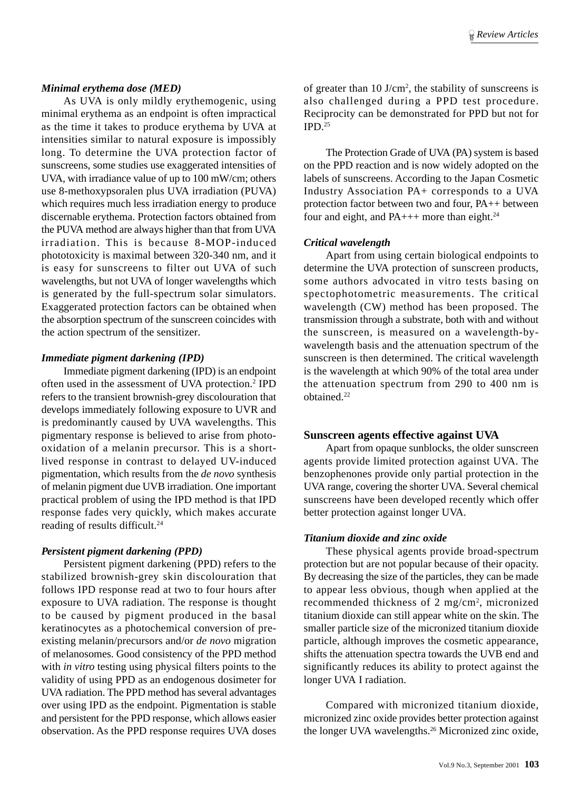#### *Minimal erythema dose (MED)*

As UVA is only mildly erythemogenic, using minimal erythema as an endpoint is often impractical as the time it takes to produce erythema by UVA at intensities similar to natural exposure is impossibly long. To determine the UVA protection factor of sunscreens, some studies use exaggerated intensities of UVA, with irradiance value of up to 100 mW/cm; others use 8-methoxypsoralen plus UVA irradiation (PUVA) which requires much less irradiation energy to produce discernable erythema. Protection factors obtained from the PUVA method are always higher than that from UVA irradiation. This is because 8-MOP-induced phototoxicity is maximal between 320-340 nm, and it is easy for sunscreens to filter out UVA of such wavelengths, but not UVA of longer wavelengths which is generated by the full-spectrum solar simulators. Exaggerated protection factors can be obtained when the absorption spectrum of the sunscreen coincides with the action spectrum of the sensitizer.

#### *Immediate pigment darkening (IPD)*

Immediate pigment darkening (IPD) is an endpoint often used in the assessment of UVA protection.<sup>2</sup> IPD refers to the transient brownish-grey discolouration that develops immediately following exposure to UVR and is predominantly caused by UVA wavelengths. This pigmentary response is believed to arise from photooxidation of a melanin precursor. This is a shortlived response in contrast to delayed UV-induced pigmentation, which results from the *de novo* synthesis of melanin pigment due UVB irradiation. One important practical problem of using the IPD method is that IPD response fades very quickly, which makes accurate reading of results difficult.<sup>24</sup>

#### *Persistent pigment darkening (PPD)*

Persistent pigment darkening (PPD) refers to the stabilized brownish-grey skin discolouration that follows IPD response read at two to four hours after exposure to UVA radiation. The response is thought to be caused by pigment produced in the basal keratinocytes as a photochemical conversion of preexisting melanin/precursors and/or *de novo* migration of melanosomes. Good consistency of the PPD method with *in vitro* testing using physical filters points to the validity of using PPD as an endogenous dosimeter for UVA radiation. The PPD method has several advantages over using IPD as the endpoint. Pigmentation is stable and persistent for the PPD response, which allows easier observation. As the PPD response requires UVA doses

of greater than  $10 \text{ J/cm}^2$ , the stability of sunscreens is also challenged during a PPD test procedure. Reciprocity can be demonstrated for PPD but not for  $IPD<sup>25</sup>$ 

The Protection Grade of UVA (PA) system is based on the PPD reaction and is now widely adopted on the labels of sunscreens. According to the Japan Cosmetic Industry Association PA+ corresponds to a UVA protection factor between two and four, PA++ between four and eight, and  $PA_{+++}$  more than eight.<sup>24</sup>

#### *Critical wavelength*

Apart from using certain biological endpoints to determine the UVA protection of sunscreen products, some authors advocated in vitro tests basing on spectophotometric measurements. The critical wavelength (CW) method has been proposed. The transmission through a substrate, both with and without the sunscreen, is measured on a wavelength-bywavelength basis and the attenuation spectrum of the sunscreen is then determined. The critical wavelength is the wavelength at which 90% of the total area under the attenuation spectrum from 290 to 400 nm is obtained<sup>22</sup>

#### **Sunscreen agents effective against UVA**

Apart from opaque sunblocks, the older sunscreen agents provide limited protection against UVA. The benzophenones provide only partial protection in the UVA range, covering the shorter UVA. Several chemical sunscreens have been developed recently which offer better protection against longer UVA.

#### *Titanium dioxide and zinc oxide*

These physical agents provide broad-spectrum protection but are not popular because of their opacity. By decreasing the size of the particles, they can be made to appear less obvious, though when applied at the recommended thickness of 2 mg/cm<sup>2</sup>, micronized titanium dioxide can still appear white on the skin. The smaller particle size of the micronized titanium dioxide particle, although improves the cosmetic appearance, shifts the attenuation spectra towards the UVB end and significantly reduces its ability to protect against the longer UVA I radiation.

Compared with micronized titanium dioxide, micronized zinc oxide provides better protection against the longer UVA wavelengths.<sup>26</sup> Micronized zinc oxide,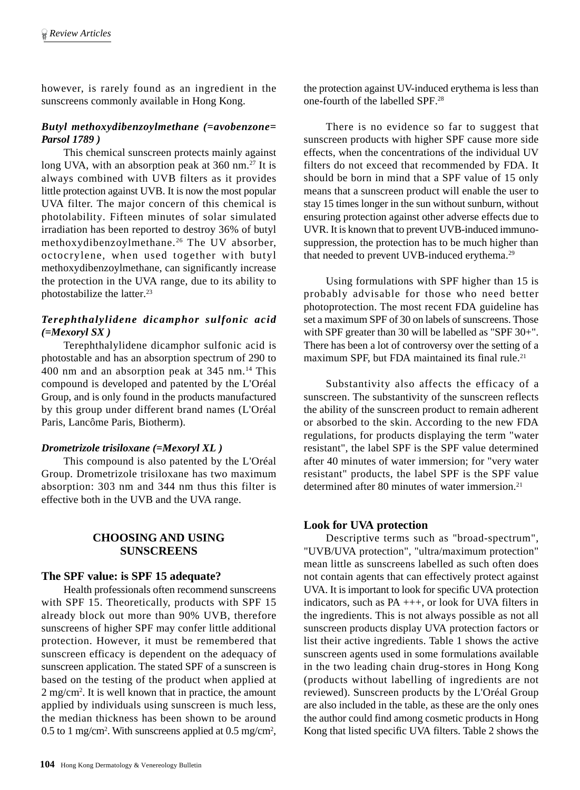however, is rarely found as an ingredient in the sunscreens commonly available in Hong Kong.

## *Butyl methoxydibenzoylmethane (=avobenzone= Parsol 1789 )*

This chemical sunscreen protects mainly against long UVA, with an absorption peak at 360 nm.<sup>27</sup> It is always combined with UVB filters as it provides little protection against UVB. It is now the most popular UVA filter. The major concern of this chemical is photolability. Fifteen minutes of solar simulated irradiation has been reported to destroy 36% of butyl methoxydibenzoylmethane.26 The UV absorber, octocrylene, when used together with butyl methoxydibenzoylmethane, can significantly increase the protection in the UVA range, due to its ability to photostabilize the latter.<sup>23</sup>

## *Terephthalylidene dicamphor sulfonic acid (=Mexoryl SX )*

Terephthalylidene dicamphor sulfonic acid is photostable and has an absorption spectrum of 290 to 400 nm and an absorption peak at  $345$  nm.<sup>14</sup> This compound is developed and patented by the L'Oréal Group, and is only found in the products manufactured by this group under different brand names (L'Oréal Paris, Lancôme Paris, Biotherm).

#### *Drometrizole trisiloxane (=Mexoryl XL )*

This compound is also patented by the L'Oréal Group. Drometrizole trisiloxane has two maximum absorption: 303 nm and 344 nm thus this filter is effective both in the UVB and the UVA range.

## **CHOOSING AND USING SUNSCREENS**

#### **The SPF value: is SPF 15 adequate?**

Health professionals often recommend sunscreens with SPF 15. Theoretically, products with SPF 15 already block out more than 90% UVB, therefore sunscreens of higher SPF may confer little additional protection. However, it must be remembered that sunscreen efficacy is dependent on the adequacy of sunscreen application. The stated SPF of a sunscreen is based on the testing of the product when applied at 2 mg/cm<sup>2</sup>. It is well known that in practice, the amount applied by individuals using sunscreen is much less, the median thickness has been shown to be around 0.5 to 1 mg/cm<sup>2</sup>. With sunscreens applied at 0.5 mg/cm<sup>2</sup>,

the protection against UV-induced erythema is less than one-fourth of the labelled SPF.28

There is no evidence so far to suggest that sunscreen products with higher SPF cause more side effects, when the concentrations of the individual UV filters do not exceed that recommended by FDA. It should be born in mind that a SPF value of 15 only means that a sunscreen product will enable the user to stay 15 times longer in the sun without sunburn, without ensuring protection against other adverse effects due to UVR. It is known that to prevent UVB-induced immunosuppression, the protection has to be much higher than that needed to prevent UVB-induced erythema.<sup>29</sup>

Using formulations with SPF higher than 15 is probably advisable for those who need better photoprotection. The most recent FDA guideline has set a maximum SPF of 30 on labels of sunscreens. Those with SPF greater than 30 will be labelled as "SPF 30+". There has been a lot of controversy over the setting of a maximum SPF, but FDA maintained its final rule.<sup>21</sup>

Substantivity also affects the efficacy of a sunscreen. The substantivity of the sunscreen reflects the ability of the sunscreen product to remain adherent or absorbed to the skin. According to the new FDA regulations, for products displaying the term "water resistant", the label SPF is the SPF value determined after 40 minutes of water immersion; for "very water resistant" products, the label SPF is the SPF value determined after 80 minutes of water immersion.<sup>21</sup>

#### **Look for UVA protection**

Descriptive terms such as "broad-spectrum", "UVB/UVA protection", "ultra/maximum protection" mean little as sunscreens labelled as such often does not contain agents that can effectively protect against UVA. It is important to look for specific UVA protection indicators, such as PA +++, or look for UVA filters in the ingredients. This is not always possible as not all sunscreen products display UVA protection factors or list their active ingredients. Table 1 shows the active sunscreen agents used in some formulations available in the two leading chain drug-stores in Hong Kong (products without labelling of ingredients are not reviewed). Sunscreen products by the L'Oréal Group are also included in the table, as these are the only ones the author could find among cosmetic products in Hong Kong that listed specific UVA filters. Table 2 shows the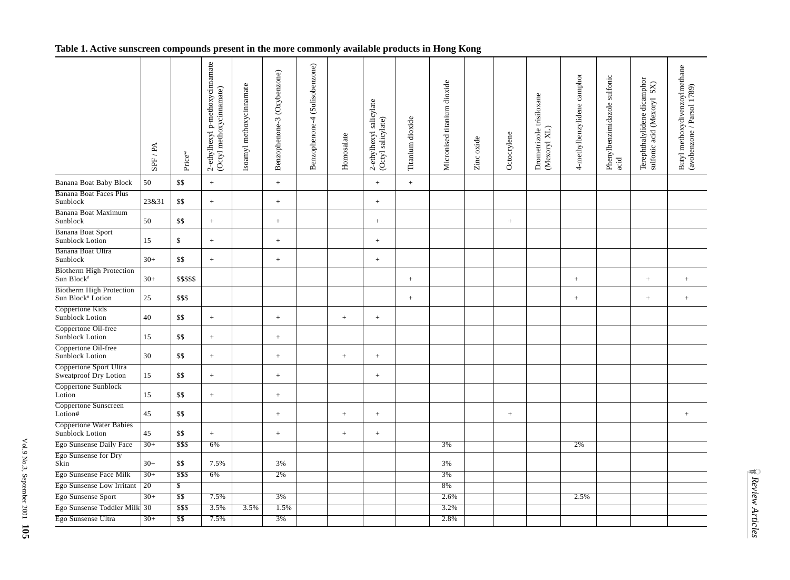## **Table 1. Active sunscreen compounds present in the more commonly available products in Hong Kong**

|                                                      | SPF / PA        | Price*                   | 2-ethylhexyl p-methoxycinnamate<br>(Octyl methoxycinnamate) | Isoamyl methoxycinnamate | Benzophenone-3 (Oxybenzone) | (Sulisobenzone)<br>Benzophenone-4 | Homosalate      | 2-ethylhexyl salicylate<br>(Octyl salicylate) | Titanium dioxide  | Micronised titanium dioxide | Zinc oxide | Octocrylene       | Drometrizole trisiloxane<br>(Mexoryl XL) | 4-methylbenzylidene camphor | Phenylbenzimidazole sulfonic<br>acid | Terephthalylidene dicamphor<br>sulfonic acid (Mexoryl SX) | Butyl methoxydivenzoylmethane<br>(avobenzone / Parsol 1789) |
|------------------------------------------------------|-----------------|--------------------------|-------------------------------------------------------------|--------------------------|-----------------------------|-----------------------------------|-----------------|-----------------------------------------------|-------------------|-----------------------------|------------|-------------------|------------------------------------------|-----------------------------|--------------------------------------|-----------------------------------------------------------|-------------------------------------------------------------|
| Banana Boat Baby Block                               | 50              | \$\$                     | $\pm$                                                       |                          | $^{+}$                      |                                   |                 | $\pm$                                         | $\qquad \qquad +$ |                             |            |                   |                                          |                             |                                      |                                                           |                                                             |
| <b>Banana Boat Faces Plus</b><br>Sunblock            | 23&31           | \$\$                     | $\pm$                                                       |                          | $^{+}$                      |                                   |                 | $\pm$                                         |                   |                             |            |                   |                                          |                             |                                      |                                                           |                                                             |
| Banana Boat Maximum<br>Sunblock                      | 50              | \$\$                     | $\,+\,$                                                     |                          | $\! + \!\!\!\!$             |                                   |                 | $\qquad \qquad +$                             |                   |                             |            | $\qquad \qquad +$ |                                          |                             |                                      |                                                           |                                                             |
| <b>Banana Boat Sport</b><br>Sunblock Lotion          | 15              | \$                       | $\pm$                                                       |                          | $^{+}$                      |                                   |                 | $\pm$                                         |                   |                             |            |                   |                                          |                             |                                      |                                                           |                                                             |
| Banana Boat Ultra<br>Sunblock                        | $30+$           | \$\$                     | $\,+\,$                                                     |                          | $\! + \!\!\!\!$             |                                   |                 | $\qquad \qquad +$                             |                   |                             |            |                   |                                          |                             |                                      |                                                           |                                                             |
| <b>Biotherm High Protection</b><br>Sun Block#        | $30+$           | \$\$\$\$\$               |                                                             |                          |                             |                                   |                 |                                               | $+$               |                             |            |                   |                                          | $^{+}$                      |                                      | $+$                                                       |                                                             |
| <b>Biotherm High Protection</b><br>Sun Block# Lotion | 25              | \$\$\$                   |                                                             |                          |                             |                                   |                 |                                               | $\! + \!\!\!\!$   |                             |            |                   |                                          | $^+$                        |                                      | $^+$                                                      |                                                             |
| Coppertone Kids<br>Sunblock Lotion                   | 40              | \$\$                     | $^+$                                                        |                          | $\! + \!\!\!\!$             |                                   | $^+$            | $\qquad \qquad +$                             |                   |                             |            |                   |                                          |                             |                                      |                                                           |                                                             |
| Coppertone Oil-free<br>Sunblock Lotion               | 15              | \$\$                     | $+$                                                         |                          | $^{+}$                      |                                   |                 |                                               |                   |                             |            |                   |                                          |                             |                                      |                                                           |                                                             |
| Coppertone Oil-free<br>Sunblock Lotion               | 30              | \$\$                     | $\,+\,$                                                     |                          | $\qquad \qquad +$           |                                   | $^+$            | $^+$                                          |                   |                             |            |                   |                                          |                             |                                      |                                                           |                                                             |
| Coppertone Sport Ultra<br>Sweatproof Dry Lotion      | 15              | \$\$                     | $\pm$                                                       |                          | $^{+}$                      |                                   |                 | $^{+}$                                        |                   |                             |            |                   |                                          |                             |                                      |                                                           |                                                             |
| Coppertone Sunblock<br>Lotion                        | 15              | \$\$                     | $\pm$                                                       |                          | $^{+}$                      |                                   |                 |                                               |                   |                             |            |                   |                                          |                             |                                      |                                                           |                                                             |
| Coppertone Sunscreen<br>Lotion#                      | 45              | \$\$                     |                                                             |                          | $\qquad \qquad +$           |                                   | $^{\mathrm{+}}$ | $^{\mathrm{+}}$                               |                   |                             |            | $\qquad \qquad +$ |                                          |                             |                                      |                                                           |                                                             |
| <b>Coppertone Water Babies</b><br>Sunblock Lotion    | 45              | \$\$                     | $\pm$                                                       |                          | $^{+}$                      |                                   | $\pm$           | $\,+\,$                                       |                   |                             |            |                   |                                          |                             |                                      |                                                           |                                                             |
| Ego Sunsense Daily Face                              | $30+$           | \$\$\$                   | 6%                                                          |                          |                             |                                   |                 |                                               |                   | 3%                          |            |                   |                                          | 2%                          |                                      |                                                           |                                                             |
| Ego Sunsense for Dry<br>Skin                         | $30+$           | \$\$                     | 7.5%                                                        |                          | 3%                          |                                   |                 |                                               |                   | 3%                          |            |                   |                                          |                             |                                      |                                                           |                                                             |
| Ego Sunsense Face Milk                               | $30+$           | \$\$\$                   | 6%                                                          |                          | 2%                          |                                   |                 |                                               |                   | 3%                          |            |                   |                                          |                             |                                      |                                                           |                                                             |
| Ego Sunsense Low Irritant                            | $\overline{20}$ | $\overline{\mathcal{E}}$ |                                                             |                          |                             |                                   |                 |                                               |                   | 8%                          |            |                   |                                          |                             |                                      |                                                           |                                                             |
| Ego Sunsense Sport                                   | $30+$           | \$\$                     | 7.5%                                                        |                          | 3%                          |                                   |                 |                                               |                   | 2.6%                        |            |                   |                                          | 2.5%                        |                                      |                                                           |                                                             |
| Ego Sunsense Toddler Milk 30                         |                 | \$\$\$                   | 3.5%                                                        | 3.5%                     | 1.5%                        |                                   |                 |                                               |                   | 3.2%                        |            |                   |                                          |                             |                                      |                                                           |                                                             |
| Ego Sunsense Ultra                                   | $30+$           | $\overline{\text{ss}}$   | 7.5%                                                        |                          | 3%                          |                                   |                 |                                               |                   | 2.8%                        |            |                   |                                          |                             |                                      |                                                           |                                                             |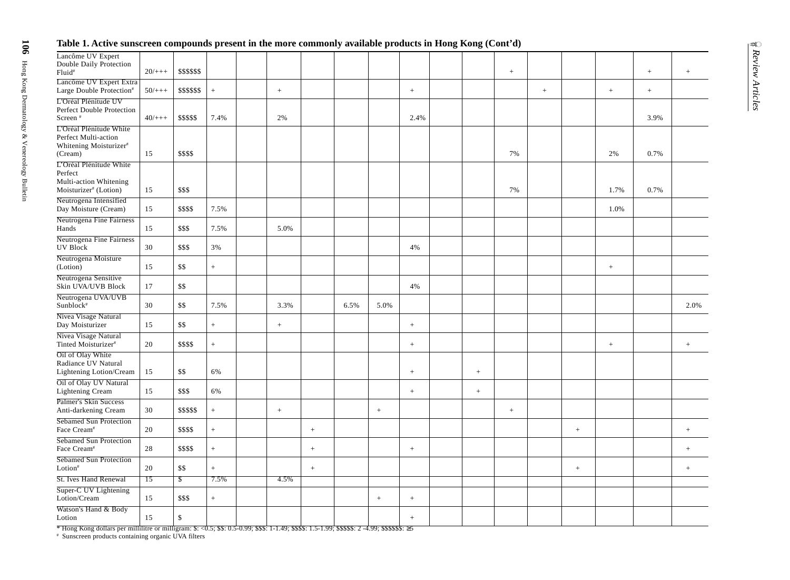## **Table 1. Active sunscreen compounds present in the more commonly available products in Hong Kong (Cont'd)**

| Lancôme UV Expert<br>Double Daily Protection<br>Fluid <sup>#</sup>                                | $20/+++$        | \$\$\$\$\$\$             |                   |        |        |      |         |                  |        | $\qquad \qquad +$ |        |        |                 | $^{+}$ |                | Review Articles |
|---------------------------------------------------------------------------------------------------|-----------------|--------------------------|-------------------|--------|--------|------|---------|------------------|--------|-------------------|--------|--------|-----------------|--------|----------------|-----------------|
| Lancôme UV Expert Extra<br>Large Double Protection <sup>#</sup>                                   | $50/+++$        | \$\$\$\$\$\$             | $\, +$            | $\, +$ |        |      |         | $\, +$           |        |                   | $\! +$ |        | $^+$            | $+$    |                |                 |
| L'Oréal Plénitude UV<br>Perfect Double Protection<br>Screen <sup>#</sup>                          | $40/+++$        | \$\$\$\$\$               | 7.4%              | $2\%$  |        |      |         | 2.4%             |        |                   |        |        |                 | 3.9%   |                |                 |
| L'Oréal Plénitude White<br>Perfect Multi-action<br>Whitening Moisturizer <sup>#</sup><br>(Cream)  | 15              | \$\$\$\$                 |                   |        |        |      |         |                  |        | 7%                |        |        | 2%              | 0.7%   |                |                 |
| L'Oréal Plénitude White<br>Perfect<br>Multi-action Whitening<br>Moisturizer <sup>#</sup> (Lotion) | 15              | \$\$\$                   |                   |        |        |      |         |                  |        | 7%                |        |        | 1.7%            | 0.7%   |                |                 |
| Neutrogena Intensified<br>Day Moisture (Cream)                                                    | 15              | \$\$\$\$                 | 7.5%              |        |        |      |         |                  |        |                   |        |        | 1.0%            |        |                |                 |
| Neutrogena Fine Fairness<br>Hands                                                                 | 15              | \$\$\$                   | 7.5%              | 5.0%   |        |      |         |                  |        |                   |        |        |                 |        |                |                 |
| Neutrogena Fine Fairness<br><b>UV Block</b>                                                       | 30              | \$\$\$                   | 3%                |        |        |      |         | 4%               |        |                   |        |        |                 |        |                |                 |
| Neutrogena Moisture<br>(Lotion)                                                                   | 15              | \$\$                     | $+$               |        |        |      |         |                  |        |                   |        |        | $\! + \!\!\!\!$ |        |                |                 |
| Neutrogena Sensitive<br>Skin UVA/UVB Block                                                        | 17              | \$\$                     |                   |        |        |      |         | 4%               |        |                   |        |        |                 |        |                |                 |
| Neutrogena UVA/UVB<br>Sunblock <sup>#</sup>                                                       | 30              | \$\$                     | 7.5%              | 3.3%   |        | 6.5% | 5.0%    |                  |        |                   |        |        |                 |        | 2.0%           |                 |
| Nivea Visage Natural<br>Day Moisturizer                                                           | 15              | \$\$                     | $+$               | $+$    |        |      |         | $\, +$           |        |                   |        |        |                 |        |                |                 |
| Nivea Visage Natural<br>Tinted Moisturizer <sup>#</sup>                                           | 20              | \$\$\$\$                 | $\qquad \qquad +$ |        |        |      |         | $\, +$           |        |                   |        |        | $^+$            |        | $^+$           |                 |
| Oil of Olay White<br>Radiance UV Natural<br>Lightening Lotion/Cream                               | 15              | \$\$                     | 6%                |        |        |      |         | $\,$ + $\,$      | $^{+}$ |                   |        |        |                 |        |                |                 |
| <b>Oil of Olay UV Natural</b><br>Lightening Cream                                                 | 15              | \$\$\$                   | 6%                |        |        |      |         | $\pm$            | $+$    |                   |        |        |                 |        |                |                 |
| Palmer's Skin Success<br>Anti-darkening Cream                                                     | 30              | \$\$\$\$\$               | $^+$              | $\! +$ |        |      | $^+$    |                  |        | $\qquad \qquad +$ |        |        |                 |        |                |                 |
| Sebamed Sun Protection<br>Face Cream <sup>#</sup>                                                 | 20              | \$\$\$\$                 | $^{+}$            |        | $+$    |      |         |                  |        |                   |        | $^{+}$ |                 |        |                |                 |
| Sebamed Sun Protection<br>Face Cream <sup>#</sup>                                                 | $28\,$          | \$\$\$\$                 | $+$               |        | $^{+}$ |      |         | $\boldsymbol{+}$ |        |                   |        |        |                 |        |                |                 |
| Sebamed Sun Protection<br>Lotion <sup>#</sup>                                                     | 20              | \$\$                     | $^{+}$            |        | $^+$   |      |         |                  |        |                   |        | $^+$   |                 |        | $\overline{+}$ |                 |
| <b>St. Ives Hand Renewal</b>                                                                      | $\overline{15}$ | $\overline{\mathcal{S}}$ | 7.5%              | 4.5%   |        |      |         |                  |        |                   |        |        |                 |        |                |                 |
| Super-C UV Lightening<br>Lotion/Cream                                                             | 15              | \$\$\$                   | $^+$              |        |        |      | $\,+\,$ | $\pm$            |        |                   |        |        |                 |        |                |                 |
| Watson's Hand & Body<br>Lotion                                                                    | 15              | \$                       |                   |        |        |      |         | $\pm$            |        |                   |        |        |                 |        |                |                 |
|                                                                                                   |                 |                          |                   |        |        |      |         |                  |        |                   |        |        |                 |        |                |                 |

\* Hong Kong dollars per millilitre or milligram: \$: <0.5; \$\$: 0.5-0.99; \$\$\$: 1-1.49; \$\$\$\$: 1.5-1.99; \$\$\$\$\$: 2 -4.99; \$\$\$\$\$\$: ≥5

# Sunscreen products containing organic UVA filters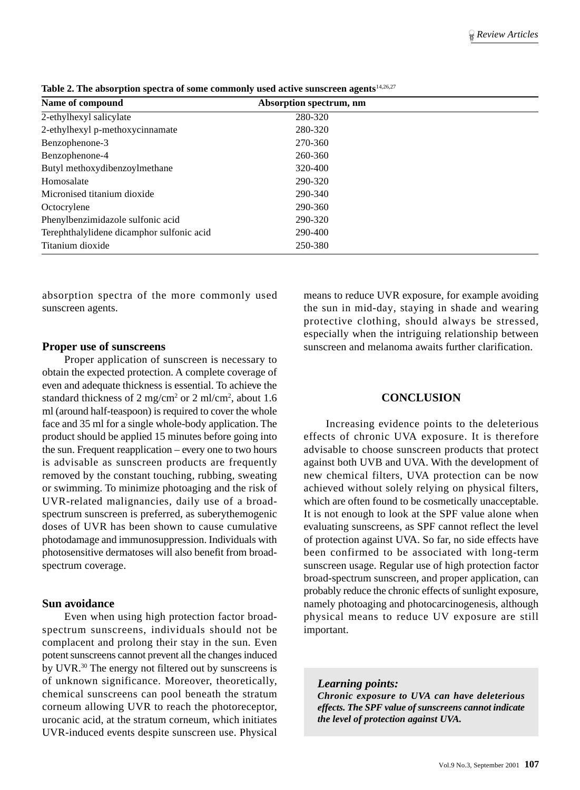| Name of compound                          | Absorption spectrum, nm |  |
|-------------------------------------------|-------------------------|--|
| 2-ethylhexyl salicylate                   | 280-320                 |  |
| 2-ethylhexyl p-methoxycinnamate           | 280-320                 |  |
| Benzophenone-3                            | 270-360                 |  |
| Benzophenone-4                            | 260-360                 |  |
| Butyl methoxydibenzoylmethane             | 320-400                 |  |
| Homosalate                                | 290-320                 |  |
| Micronised titanium dioxide               | 290-340                 |  |
| Octocrylene                               | 290-360                 |  |
| Phenylbenzimidazole sulfonic acid         | 290-320                 |  |
| Terephthalylidene dicamphor sulfonic acid | 290-400                 |  |
| Titanium dioxide                          | 250-380                 |  |

**Table 2. The absorption spectra of some commonly used active sunscreen agents**14,26,27

absorption spectra of the more commonly used sunscreen agents.

#### **Proper use of sunscreens**

Proper application of sunscreen is necessary to obtain the expected protection. A complete coverage of even and adequate thickness is essential. To achieve the standard thickness of  $2 \text{ mg/cm}^2$  or  $2 \text{ ml/cm}^2$ , about 1.6 ml (around half-teaspoon) is required to cover the whole face and 35 ml for a single whole-body application. The product should be applied 15 minutes before going into the sun. Frequent reapplication – every one to two hours is advisable as sunscreen products are frequently removed by the constant touching, rubbing, sweating or swimming. To minimize photoaging and the risk of UVR-related malignancies, daily use of a broadspectrum sunscreen is preferred, as suberythemogenic doses of UVR has been shown to cause cumulative photodamage and immunosuppression. Individuals with photosensitive dermatoses will also benefit from broadspectrum coverage.

#### **Sun avoidance**

Even when using high protection factor broadspectrum sunscreens, individuals should not be complacent and prolong their stay in the sun. Even potent sunscreens cannot prevent all the changes induced by UVR.30 The energy not filtered out by sunscreens is of unknown significance. Moreover, theoretically, chemical sunscreens can pool beneath the stratum corneum allowing UVR to reach the photoreceptor, urocanic acid, at the stratum corneum, which initiates UVR-induced events despite sunscreen use. Physical

means to reduce UVR exposure, for example avoiding the sun in mid-day, staying in shade and wearing protective clothing, should always be stressed, especially when the intriguing relationship between sunscreen and melanoma awaits further clarification.

#### **CONCLUSION**

Increasing evidence points to the deleterious effects of chronic UVA exposure. It is therefore advisable to choose sunscreen products that protect against both UVB and UVA. With the development of new chemical filters, UVA protection can be now achieved without solely relying on physical filters, which are often found to be cosmetically unacceptable. It is not enough to look at the SPF value alone when evaluating sunscreens, as SPF cannot reflect the level of protection against UVA. So far, no side effects have been confirmed to be associated with long-term sunscreen usage. Regular use of high protection factor broad-spectrum sunscreen, and proper application, can probably reduce the chronic effects of sunlight exposure, namely photoaging and photocarcinogenesis, although physical means to reduce UV exposure are still important.

#### *Learning points:*

*Chronic exposure to UVA can have deleterious effects. The SPF value of sunscreens cannot indicate the level of protection against UVA.*